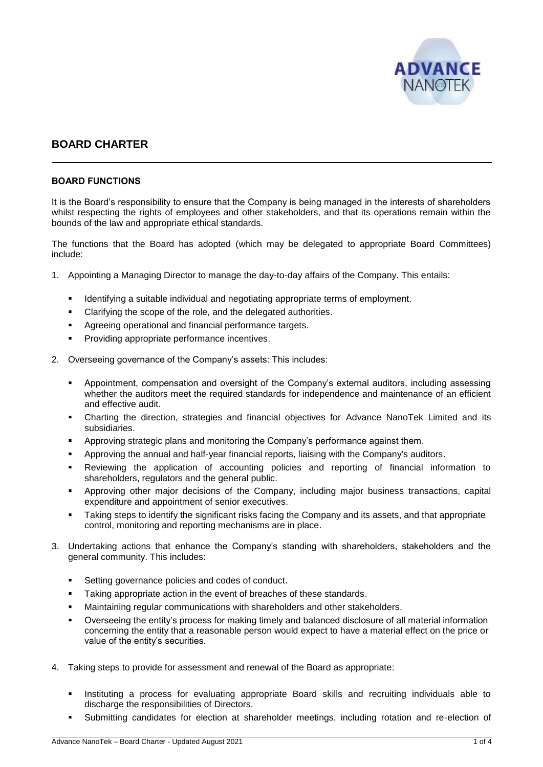

# **BOARD CHARTER**

#### **BOARD FUNCTIONS**

It is the Board's responsibility to ensure that the Company is being managed in the interests of shareholders whilst respecting the rights of employees and other stakeholders, and that its operations remain within the bounds of the law and appropriate ethical standards.

The functions that the Board has adopted (which may be delegated to appropriate Board Committees) include:

- 1. Appointing a Managing Director to manage the day-to-day affairs of the Company. This entails:
	- Identifying a suitable individual and negotiating appropriate terms of employment.
	- Clarifying the scope of the role, and the delegated authorities.
	- Agreeing operational and financial performance targets.
	- Providing appropriate performance incentives.
- 2. Overseeing governance of the Company's assets: This includes:
	- Appointment, compensation and oversight of the Company's external auditors, including assessing whether the auditors meet the required standards for independence and maintenance of an efficient and effective audit.
	- Charting the direction, strategies and financial objectives for Advance NanoTek Limited and its subsidiaries.
	- Approving strategic plans and monitoring the Company's performance against them.
	- Approving the annual and half-year financial reports, liaising with the Company's auditors.
	- Reviewing the application of accounting policies and reporting of financial information to shareholders, regulators and the general public.
	- Approving other major decisions of the Company, including major business transactions, capital expenditure and appointment of senior executives.
	- **•** Taking steps to identify the significant risks facing the Company and its assets, and that appropriate control, monitoring and reporting mechanisms are in place.
- 3. Undertaking actions that enhance the Company's standing with shareholders, stakeholders and the general community. This includes:
	- Setting governance policies and codes of conduct.
	- Taking appropriate action in the event of breaches of these standards.
	- Maintaining regular communications with shareholders and other stakeholders.
	- Overseeing the entity's process for making timely and balanced disclosure of all material information concerning the entity that a reasonable person would expect to have a material effect on the price or value of the entity's securities.
- 4. Taking steps to provide for assessment and renewal of the Board as appropriate:
	- Instituting a process for evaluating appropriate Board skills and recruiting individuals able to discharge the responsibilities of Directors.
	- Submitting candidates for election at shareholder meetings, including rotation and re-election of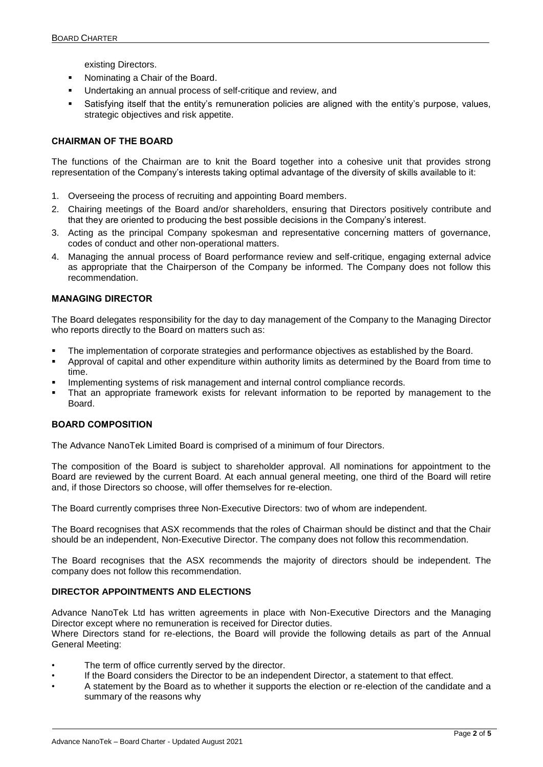existing Directors.

- Nominating a Chair of the Board.
- Undertaking an annual process of self-critique and review, and
- Satisfying itself that the entity's remuneration policies are aligned with the entity's purpose, values, strategic objectives and risk appetite.

## **CHAIRMAN OF THE BOARD**

The functions of the Chairman are to knit the Board together into a cohesive unit that provides strong representation of the Company's interests taking optimal advantage of the diversity of skills available to it:

- 1. Overseeing the process of recruiting and appointing Board members.
- 2. Chairing meetings of the Board and/or shareholders, ensuring that Directors positively contribute and that they are oriented to producing the best possible decisions in the Company's interest.
- 3. Acting as the principal Company spokesman and representative concerning matters of governance, codes of conduct and other non-operational matters.
- 4. Managing the annual process of Board performance review and self-critique, engaging external advice as appropriate that the Chairperson of the Company be informed. The Company does not follow this recommendation.

#### **MANAGING DIRECTOR**

The Board delegates responsibility for the day to day management of the Company to the Managing Director who reports directly to the Board on matters such as:

- The implementation of corporate strategies and performance objectives as established by the Board.
- Approval of capital and other expenditure within authority limits as determined by the Board from time to time.
- Implementing systems of risk management and internal control compliance records.
- That an appropriate framework exists for relevant information to be reported by management to the Board.

#### **BOARD COMPOSITION**

The Advance NanoTek Limited Board is comprised of a minimum of four Directors.

The composition of the Board is subject to shareholder approval. All nominations for appointment to the Board are reviewed by the current Board. At each annual general meeting, one third of the Board will retire and, if those Directors so choose, will offer themselves for re-election.

The Board currently comprises three Non-Executive Directors: two of whom are independent.

The Board recognises that ASX recommends that the roles of Chairman should be distinct and that the Chair should be an independent, Non-Executive Director. The company does not follow this recommendation.

The Board recognises that the ASX recommends the majority of directors should be independent. The company does not follow this recommendation.

## **DIRECTOR APPOINTMENTS AND ELECTIONS**

Advance NanoTek Ltd has written agreements in place with Non-Executive Directors and the Managing Director except where no remuneration is received for Director duties.

Where Directors stand for re-elections, the Board will provide the following details as part of the Annual General Meeting:

- The term of office currently served by the director.
- If the Board considers the Director to be an independent Director, a statement to that effect.
- A statement by the Board as to whether it supports the election or re-election of the candidate and a summary of the reasons why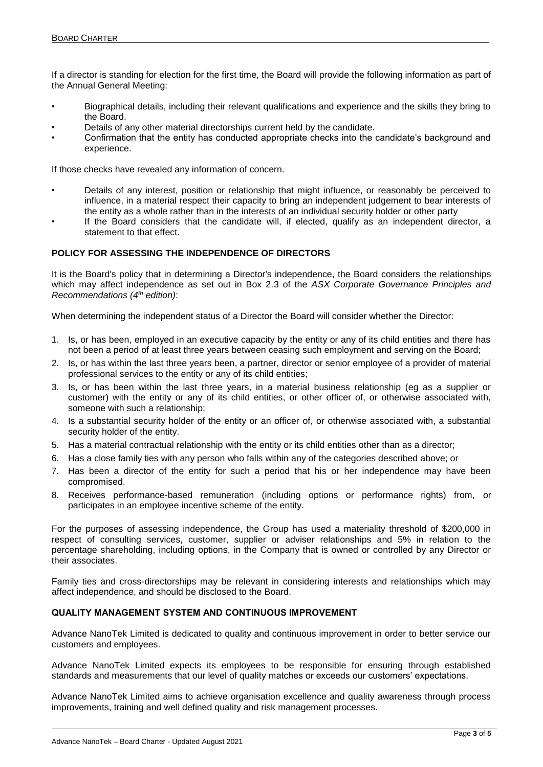If a director is standing for election for the first time, the Board will provide the following information as part of the Annual General Meeting:

- Biographical details, including their relevant qualifications and experience and the skills they bring to the Board.
- Details of any other material directorships current held by the candidate.
- Confirmation that the entity has conducted appropriate checks into the candidate's background and experience.

If those checks have revealed any information of concern.

- Details of any interest, position or relationship that might influence, or reasonably be perceived to influence, in a material respect their capacity to bring an independent judgement to bear interests of the entity as a whole rather than in the interests of an individual security holder or other party
- If the Board considers that the candidate will, if elected, qualify as an independent director, a statement to that effect.

## **POLICY FOR ASSESSING THE INDEPENDENCE OF DIRECTORS**

It is the Board's policy that in determining a Director's independence, the Board considers the relationships which may affect independence as set out in Box 2.3 of the *ASX Corporate Governance Principles and Recommendations (4 th edition)*:

When determining the independent status of a Director the Board will consider whether the Director:

- 1. Is, or has been, employed in an executive capacity by the entity or any of its child entities and there has not been a period of at least three years between ceasing such employment and serving on the Board;
- 2. Is, or has within the last three years been, a partner, director or senior employee of a provider of material professional services to the entity or any of its child entities;
- 3. Is, or has been within the last three years, in a material business relationship (eg as a supplier or customer) with the entity or any of its child entities, or other officer of, or otherwise associated with, someone with such a relationship;
- 4. Is a substantial security holder of the entity or an officer of, or otherwise associated with, a substantial security holder of the entity.
- 5. Has a material contractual relationship with the entity or its child entities other than as a director;
- 6. Has a close family ties with any person who falls within any of the categories described above; or
- 7. Has been a director of the entity for such a period that his or her independence may have been compromised.
- 8. Receives performance-based remuneration (including options or performance rights) from, or participates in an employee incentive scheme of the entity.

For the purposes of assessing independence, the Group has used a materiality threshold of \$200,000 in respect of consulting services, customer, supplier or adviser relationships and 5% in relation to the percentage shareholding, including options, in the Company that is owned or controlled by any Director or their associates.

Family ties and cross-directorships may be relevant in considering interests and relationships which may affect independence, and should be disclosed to the Board.

# **QUALITY MANAGEMENT SYSTEM AND CONTINUOUS IMPROVEMENT**

Advance NanoTek Limited is dedicated to quality and continuous improvement in order to better service our customers and employees.

Advance NanoTek Limited expects its employees to be responsible for ensuring through established standards and measurements that our level of quality matches or exceeds our customers' expectations.

Advance NanoTek Limited aims to achieve organisation excellence and quality awareness through process improvements, training and well defined quality and risk management processes.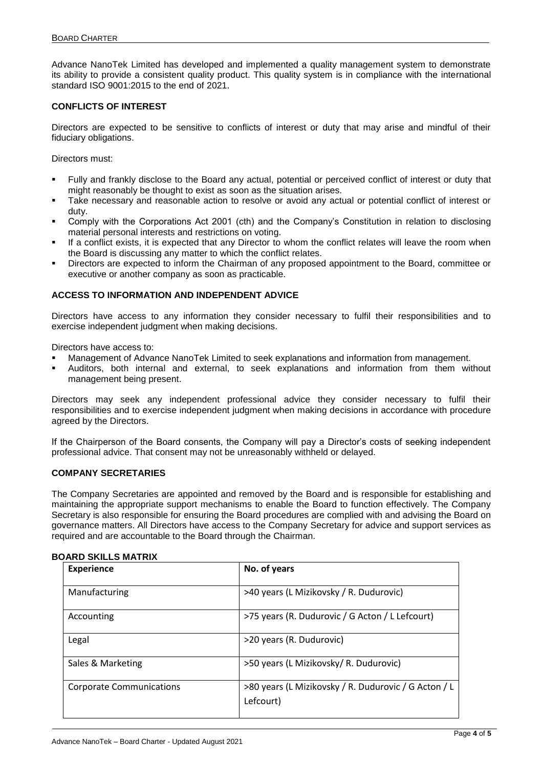Advance NanoTek Limited has developed and implemented a quality management system to demonstrate its ability to provide a consistent quality product. This quality system is in compliance with the international standard ISO 9001:2015 to the end of 2021.

#### **CONFLICTS OF INTEREST**

Directors are expected to be sensitive to conflicts of interest or duty that may arise and mindful of their fiduciary obligations.

Directors must:

- Fully and frankly disclose to the Board any actual, potential or perceived conflict of interest or duty that might reasonably be thought to exist as soon as the situation arises.
- Take necessary and reasonable action to resolve or avoid any actual or potential conflict of interest or duty.
- Comply with the Corporations Act 2001 (cth) and the Company's Constitution in relation to disclosing material personal interests and restrictions on voting.
- If a conflict exists, it is expected that any Director to whom the conflict relates will leave the room when the Board is discussing any matter to which the conflict relates.
- Directors are expected to inform the Chairman of any proposed appointment to the Board, committee or executive or another company as soon as practicable.

## **ACCESS TO INFORMATION AND INDEPENDENT ADVICE**

Directors have access to any information they consider necessary to fulfil their responsibilities and to exercise independent judgment when making decisions.

Directors have access to:

- Management of Advance NanoTek Limited to seek explanations and information from management.
- Auditors, both internal and external, to seek explanations and information from them without management being present.

Directors may seek any independent professional advice they consider necessary to fulfil their responsibilities and to exercise independent judgment when making decisions in accordance with procedure agreed by the Directors.

If the Chairperson of the Board consents, the Company will pay a Director's costs of seeking independent professional advice. That consent may not be unreasonably withheld or delayed.

#### **COMPANY SECRETARIES**

The Company Secretaries are appointed and removed by the Board and is responsible for establishing and maintaining the appropriate support mechanisms to enable the Board to function effectively. The Company Secretary is also responsible for ensuring the Board procedures are complied with and advising the Board on governance matters. All Directors have access to the Company Secretary for advice and support services as required and are accountable to the Board through the Chairman.

| <b>Experience</b>               | No. of years                                                      |
|---------------------------------|-------------------------------------------------------------------|
| Manufacturing                   | >40 years (L Mizikovsky / R. Dudurovic)                           |
| Accounting                      | >75 years (R. Dudurovic / G Acton / L Lefcourt)                   |
| Legal                           | >20 years (R. Dudurovic)                                          |
| Sales & Marketing               | >50 years (L Mizikovsky/ R. Dudurovic)                            |
| <b>Corporate Communications</b> | >80 years (L Mizikovsky / R. Dudurovic / G Acton / L<br>Lefcourt) |

#### **BOARD SKILLS MATRIX**